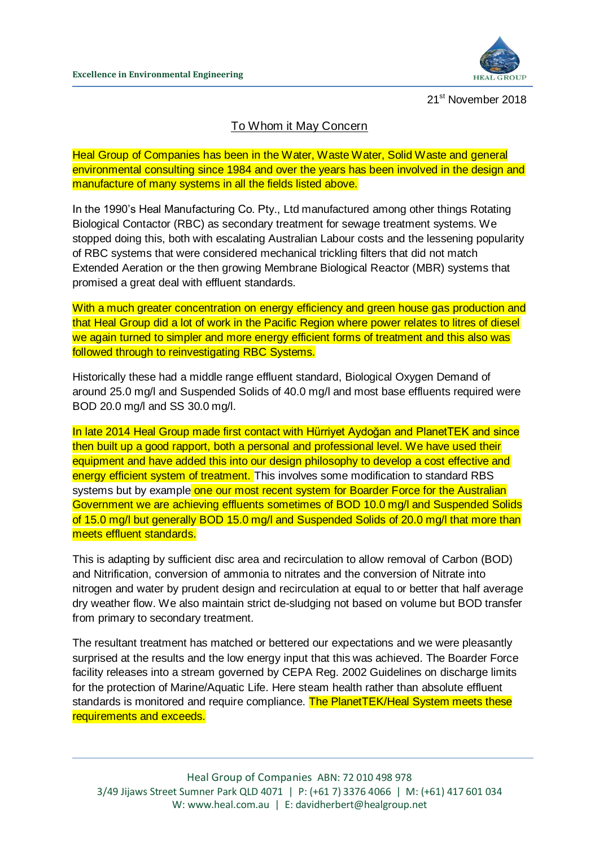

21<sup>st</sup> November 2018

## To Whom it May Concern

Heal Group of Companies has been in the Water, Waste Water, Solid Waste and general environmental consulting since 1984 and over the years has been involved in the design and manufacture of many systems in all the fields listed above.

In the 1990's Heal Manufacturing Co. Pty., Ltd manufactured among other things Rotating Biological Contactor (RBC) as secondary treatment for sewage treatment systems. We stopped doing this, both with escalating Australian Labour costs and the lessening popularity of RBC systems that were considered mechanical trickling filters that did not match Extended Aeration or the then growing Membrane Biological Reactor (MBR) systems that promised a great deal with effluent standards.

With a much greater concentration on energy efficiency and green house gas production and that Heal Group did a lot of work in the Pacific Region where power relates to litres of diesel we again turned to simpler and more energy efficient forms of treatment and this also was followed through to reinvestigating RBC Systems.

Historically these had a middle range effluent standard, Biological Oxygen Demand of around 25.0 mg/l and Suspended Solids of 40.0 mg/l and most base effluents required were BOD 20.0 mg/l and SS 30.0 mg/l.

In late 2014 Heal Group made first contact with Hürriyet Aydoğan and PlanetTEK and since then built up a good rapport, both a personal and professional level. We have used their equipment and have added this into our design philosophy to develop a cost effective and energy efficient system of treatment. This involves some modification to standard RBS systems but by example one our most recent system for Boarder Force for the Australian Government we are achieving effluents sometimes of BOD 10.0 mg/l and Suspended Solids of 15.0 mg/l but generally BOD 15.0 mg/l and Suspended Solids of 20.0 mg/l that more than meets effluent standards.

This is adapting by sufficient disc area and recirculation to allow removal of Carbon (BOD) and Nitrification, conversion of ammonia to nitrates and the conversion of Nitrate into nitrogen and water by prudent design and recirculation at equal to or better that half average dry weather flow. We also maintain strict de-sludging not based on volume but BOD transfer from primary to secondary treatment.

The resultant treatment has matched or bettered our expectations and we were pleasantly surprised at the results and the low energy input that this was achieved. The Boarder Force facility releases into a stream governed by CEPA Reg. 2002 Guidelines on discharge limits for the protection of Marine/Aquatic Life. Here steam health rather than absolute effluent standards is monitored and require compliance. The PlanetTEK/Heal System meets these requirements and exceeds.